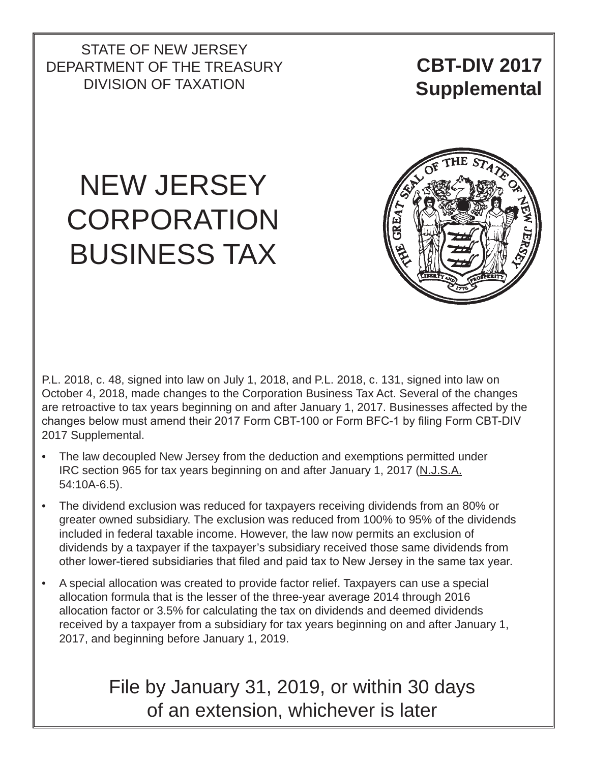STATE OF NEW JERSEY DEPARTMENT OF THE TREASURY DIVISION OF TAXATION

**CBT-DIV 2017 Supplemental**

# NEW JERSEY **CORPORATION** BUSINESS TAX



P.L. 2018, c. 48, signed into law on July 1, 2018, and P.L. 2018, c. 131, signed into law on October 4, 2018, made changes to the Corporation Business Tax Act. Several of the changes are retroactive to tax years beginning on and after January 1, 2017. Businesses affected by the changes below must amend their 2017 Form CBT-100 or Form BFC-1 by filing Form CBT-DIV 2017 Supplemental.

- The law decoupled New Jersey from the deduction and exemptions permitted under IRC section 965 for tax years beginning on and after January 1, 2017 (N.J.S.A. 54:10A-6.5).
- The dividend exclusion was reduced for taxpayers receiving dividends from an 80% or greater owned subsidiary. The exclusion was reduced from 100% to 95% of the dividends included in federal taxable income. However, the law now permits an exclusion of dividends by a taxpayer if the taxpayer's subsidiary received those same dividends from other lower-tiered subsidiaries that filed and paid tax to New Jersey in the same tax year.
- A special allocation was created to provide factor relief. Taxpayers can use a special allocation formula that is the lesser of the three-year average 2014 through 2016 allocation factor or 3.5% for calculating the tax on dividends and deemed dividends received by a taxpayer from a subsidiary for tax years beginning on and after January 1, 2017, and beginning before January 1, 2019.

# File by January 31, 2019, or within 30 days of an extension, whichever is later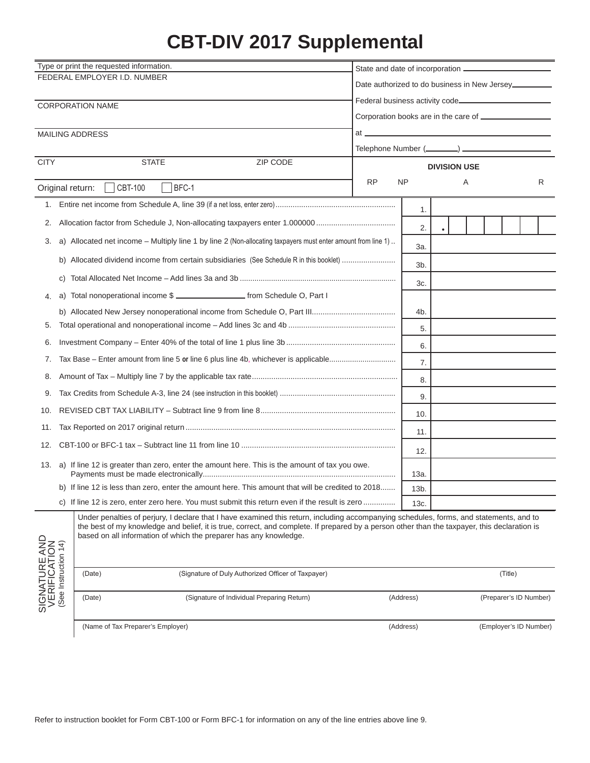# **CBT-DIV 2017 Supplemental**

| Type or print the requested information.              |                                                              |                                                                                                                                                                                                                                                                                                                                                              |                                                                                                           |                     |  |   |         |                        |  |  |
|-------------------------------------------------------|--------------------------------------------------------------|--------------------------------------------------------------------------------------------------------------------------------------------------------------------------------------------------------------------------------------------------------------------------------------------------------------------------------------------------------------|-----------------------------------------------------------------------------------------------------------|---------------------|--|---|---------|------------------------|--|--|
|                                                       |                                                              | FEDERAL EMPLOYER I.D. NUMBER                                                                                                                                                                                                                                                                                                                                 | Date authorized to do business in New Jersey.                                                             |                     |  |   |         |                        |  |  |
|                                                       |                                                              |                                                                                                                                                                                                                                                                                                                                                              |                                                                                                           |                     |  |   |         |                        |  |  |
|                                                       |                                                              | <b>CORPORATION NAME</b>                                                                                                                                                                                                                                                                                                                                      |                                                                                                           |                     |  |   |         |                        |  |  |
|                                                       |                                                              |                                                                                                                                                                                                                                                                                                                                                              |                                                                                                           |                     |  |   |         |                        |  |  |
|                                                       |                                                              | MAILING ADDRESS                                                                                                                                                                                                                                                                                                                                              | at <u>the contract of the contract of the contract of the contract of the contract of the contract of</u> |                     |  |   |         |                        |  |  |
|                                                       |                                                              |                                                                                                                                                                                                                                                                                                                                                              |                                                                                                           |                     |  |   |         |                        |  |  |
| <b>CITY</b>                                           |                                                              | <b>STATE</b><br>ZIP CODE                                                                                                                                                                                                                                                                                                                                     |                                                                                                           | <b>DIVISION USE</b> |  |   |         |                        |  |  |
|                                                       |                                                              | BFC-1<br><b>CBT-100</b><br>Original return:                                                                                                                                                                                                                                                                                                                  | <b>RP</b>                                                                                                 | <b>NP</b>           |  | Α |         | R                      |  |  |
|                                                       |                                                              |                                                                                                                                                                                                                                                                                                                                                              |                                                                                                           | 1.                  |  |   |         |                        |  |  |
| 2.                                                    |                                                              |                                                                                                                                                                                                                                                                                                                                                              |                                                                                                           | 2.                  |  |   |         |                        |  |  |
| 3.                                                    |                                                              | a) Allocated net income - Multiply line 1 by line 2 (Non-allocating taxpayers must enter amount from line 1)                                                                                                                                                                                                                                                 |                                                                                                           | За.                 |  |   |         |                        |  |  |
|                                                       |                                                              | b) Allocated dividend income from certain subsidiaries (See Schedule R in this booklet)                                                                                                                                                                                                                                                                      |                                                                                                           | 3b.                 |  |   |         |                        |  |  |
|                                                       | C)                                                           |                                                                                                                                                                                                                                                                                                                                                              |                                                                                                           | 3c.                 |  |   |         |                        |  |  |
| 4.                                                    | a)                                                           | Total nonoperational income \$ ______________________ from Schedule O, Part I                                                                                                                                                                                                                                                                                |                                                                                                           |                     |  |   |         |                        |  |  |
|                                                       |                                                              |                                                                                                                                                                                                                                                                                                                                                              |                                                                                                           | 4b.                 |  |   |         |                        |  |  |
| 5.                                                    |                                                              |                                                                                                                                                                                                                                                                                                                                                              |                                                                                                           |                     |  |   |         |                        |  |  |
| 6.                                                    |                                                              |                                                                                                                                                                                                                                                                                                                                                              |                                                                                                           |                     |  |   |         |                        |  |  |
| 7.                                                    |                                                              |                                                                                                                                                                                                                                                                                                                                                              |                                                                                                           |                     |  |   |         |                        |  |  |
| 8.                                                    |                                                              |                                                                                                                                                                                                                                                                                                                                                              |                                                                                                           | 8.                  |  |   |         |                        |  |  |
| 9.                                                    |                                                              |                                                                                                                                                                                                                                                                                                                                                              |                                                                                                           | 9.                  |  |   |         |                        |  |  |
| 10.                                                   |                                                              |                                                                                                                                                                                                                                                                                                                                                              |                                                                                                           | 10.                 |  |   |         |                        |  |  |
| 11.                                                   |                                                              |                                                                                                                                                                                                                                                                                                                                                              |                                                                                                           | 11.                 |  |   |         |                        |  |  |
| 12.                                                   |                                                              |                                                                                                                                                                                                                                                                                                                                                              |                                                                                                           | 12.                 |  |   |         |                        |  |  |
| 13.                                                   |                                                              | a) If line 12 is greater than zero, enter the amount here. This is the amount of tax you owe.                                                                                                                                                                                                                                                                |                                                                                                           | 13a.                |  |   |         |                        |  |  |
|                                                       |                                                              | b) If line 12 is less than zero, enter the amount here. This amount that will be credited to 2018.                                                                                                                                                                                                                                                           |                                                                                                           | 13 <sub>b</sub>     |  |   |         |                        |  |  |
|                                                       |                                                              | c) If line 12 is zero, enter zero here. You must submit this return even if the result is zero                                                                                                                                                                                                                                                               |                                                                                                           | 13c.                |  |   |         |                        |  |  |
| SIGNATURE AND<br>VERIFICATION<br>(See Instruction 14) |                                                              | Under penalties of perjury, I declare that I have examined this return, including accompanying schedules, forms, and statements, and to<br>the best of my knowledge and belief, it is true, correct, and complete. If prepared by a person other than the taxpayer, this declaration is<br>based on all information of which the preparer has any knowledge. |                                                                                                           |                     |  |   |         |                        |  |  |
|                                                       | (Signature of Duly Authorized Officer of Taxpayer)<br>(Date) |                                                                                                                                                                                                                                                                                                                                                              |                                                                                                           |                     |  |   | (Title) |                        |  |  |
|                                                       |                                                              | (Signature of Individual Preparing Return)<br>(Date)                                                                                                                                                                                                                                                                                                         |                                                                                                           | (Address)           |  |   |         | (Preparer's ID Number) |  |  |
|                                                       |                                                              | (Name of Tax Preparer's Employer)                                                                                                                                                                                                                                                                                                                            |                                                                                                           | (Address)           |  |   |         | (Employer's ID Number) |  |  |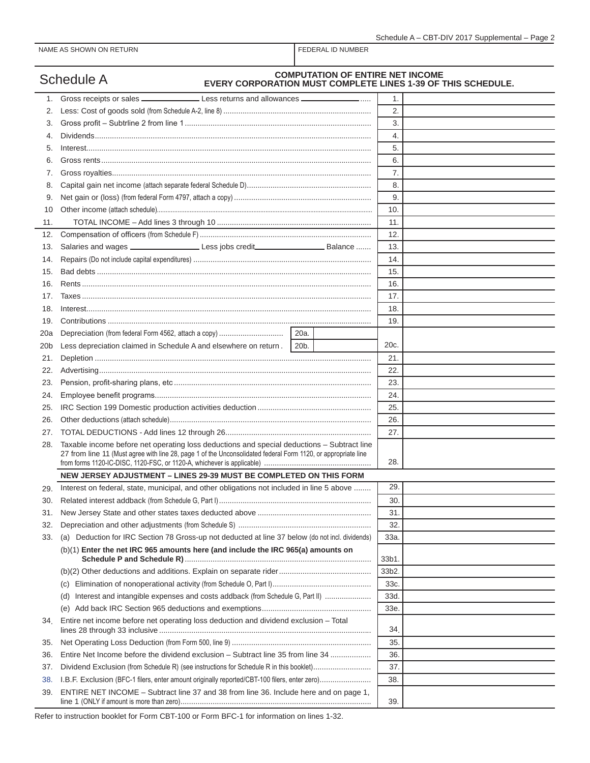|     | <b>COMPUTATION OF ENTIRE NET INCOME</b><br>Schedule A<br><b>EVERY CORPORATION MUST COMPLETE LINES 1-39 OF THIS SCHEDULE.</b>                                                                                |       |  |
|-----|-------------------------------------------------------------------------------------------------------------------------------------------------------------------------------------------------------------|-------|--|
| 1.  | Gross receipts or sales _________________________Less returns and allowances _______________________                                                                                                        | 1.    |  |
| 2.  |                                                                                                                                                                                                             | 2.    |  |
| 3.  |                                                                                                                                                                                                             | 3.    |  |
| 4.  |                                                                                                                                                                                                             | 4.    |  |
| 5.  |                                                                                                                                                                                                             | 5.    |  |
| 6.  |                                                                                                                                                                                                             | 6.    |  |
| 7.  |                                                                                                                                                                                                             | 7.    |  |
| 8.  |                                                                                                                                                                                                             | 8.    |  |
| 9.  |                                                                                                                                                                                                             | 9.    |  |
| 10  |                                                                                                                                                                                                             | 10.   |  |
| 11. |                                                                                                                                                                                                             | 11.   |  |
| 12. |                                                                                                                                                                                                             | 12.   |  |
| 13. | Salaries and wages __________________________Less jobs credit___________________________Balance                                                                                                             | 13.   |  |
| 14. |                                                                                                                                                                                                             | 14.   |  |
| 15. |                                                                                                                                                                                                             | 15.   |  |
| 16. |                                                                                                                                                                                                             | 16.   |  |
| 17. |                                                                                                                                                                                                             | 17.   |  |
| 18. |                                                                                                                                                                                                             | 18.   |  |
| 19. |                                                                                                                                                                                                             | 19.   |  |
| 20a |                                                                                                                                                                                                             |       |  |
| 20b | Less depreciation claimed in Schedule A and elsewhere on return. 20b.                                                                                                                                       | 20c.  |  |
| 21. |                                                                                                                                                                                                             | 21.   |  |
| 22. |                                                                                                                                                                                                             | 22.   |  |
| 23. |                                                                                                                                                                                                             | 23.   |  |
| 24. |                                                                                                                                                                                                             | 24.   |  |
| 25. |                                                                                                                                                                                                             | 25.   |  |
| 26. |                                                                                                                                                                                                             | 26.   |  |
| 27. |                                                                                                                                                                                                             | 27.   |  |
| 28. | Taxable income before net operating loss deductions and special deductions - Subtract line<br>27 from line 11 (Must agree with line 28, page 1 of the Unconsolidated federal Form 1120, or appropriate line | 28.   |  |
|     | NEW JERSEY ADJUSTMENT - LINES 29-39 MUST BE COMPLETED ON THIS FORM                                                                                                                                          |       |  |
| 29. | Interest on federal, state, municipal, and other obligations not included in line 5 above                                                                                                                   | 29.   |  |
| 30. |                                                                                                                                                                                                             | 30.   |  |
| 31. |                                                                                                                                                                                                             | 31.   |  |
| 32. |                                                                                                                                                                                                             | 32.   |  |
| 33. | (a) Deduction for IRC Section 78 Gross-up not deducted at line 37 below (do not incl. dividends)                                                                                                            | 33a.  |  |
|     | (b)(1) Enter the net IRC 965 amounts here (and include the IRC 965(a) amounts on                                                                                                                            | 33b1. |  |
|     |                                                                                                                                                                                                             | 33b2. |  |
|     | (c)                                                                                                                                                                                                         | 33c.  |  |
|     | Interest and intangible expenses and costs addback (from Schedule G, Part II)<br>(d)                                                                                                                        | 33d.  |  |
|     |                                                                                                                                                                                                             | 33e   |  |
| 34. | Entire net income before net operating loss deduction and dividend exclusion - Total                                                                                                                        | 34.   |  |
| 35. |                                                                                                                                                                                                             | 35.   |  |
| 36. | Entire Net Income before the dividend exclusion - Subtract line 35 from line 34                                                                                                                             | 36.   |  |
| 37. | Dividend Exclusion (from Schedule R) (see instructions for Schedule R in this booklet)                                                                                                                      | 37.   |  |
| 38. | I.B.F. Exclusion (BFC-1 filers, enter amount originally reported/CBT-100 filers, enter zero)                                                                                                                | 38.   |  |
| 39. | ENTIRE NET INCOME - Subtract line 37 and 38 from line 36. Include here and on page 1,                                                                                                                       | 39.   |  |

Refer to instruction booklet for Form CBT-100 or Form BFC-1 for information on lines 1-32.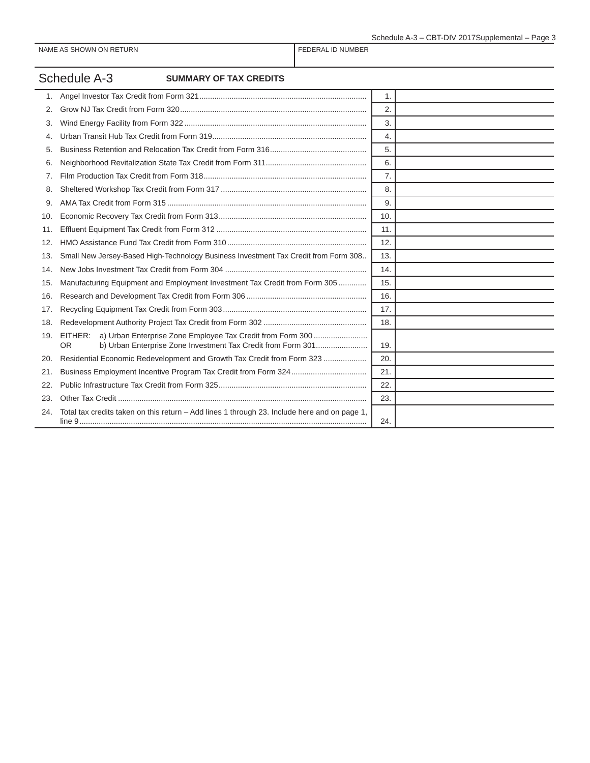# Schedule A-3 **SUMMARY OF TAX CREDITS**

|     |                                                                                              | 1.  |  |
|-----|----------------------------------------------------------------------------------------------|-----|--|
| 2.  |                                                                                              | 2.  |  |
| 3.  |                                                                                              | 3.  |  |
| 4.  |                                                                                              | 4.  |  |
| 5.  |                                                                                              | 5.  |  |
| 6.  |                                                                                              | 6.  |  |
| 7.  |                                                                                              | 7.  |  |
| 8.  |                                                                                              | 8.  |  |
| 9.  |                                                                                              | 9.  |  |
| 10. |                                                                                              | 10. |  |
| 11. |                                                                                              | 11. |  |
| 12. |                                                                                              | 12. |  |
| 13. | Small New Jersey-Based High-Technology Business Investment Tax Credit from Form 308          | 13. |  |
| 14. |                                                                                              | 14. |  |
| 15. | Manufacturing Equipment and Employment Investment Tax Credit from Form 305                   | 15. |  |
| 16. |                                                                                              | 16. |  |
| 17. |                                                                                              | 17. |  |
| 18. |                                                                                              | 18. |  |
| 19. | EITHER:<br>OR                                                                                | 19. |  |
| 20. | Residential Economic Redevelopment and Growth Tax Credit from Form 323                       | 20. |  |
| 21. |                                                                                              | 21. |  |
| 22. |                                                                                              | 22. |  |
| 23. |                                                                                              | 23. |  |
| 24. | Total tax credits taken on this return - Add lines 1 through 23. Include here and on page 1, | 24. |  |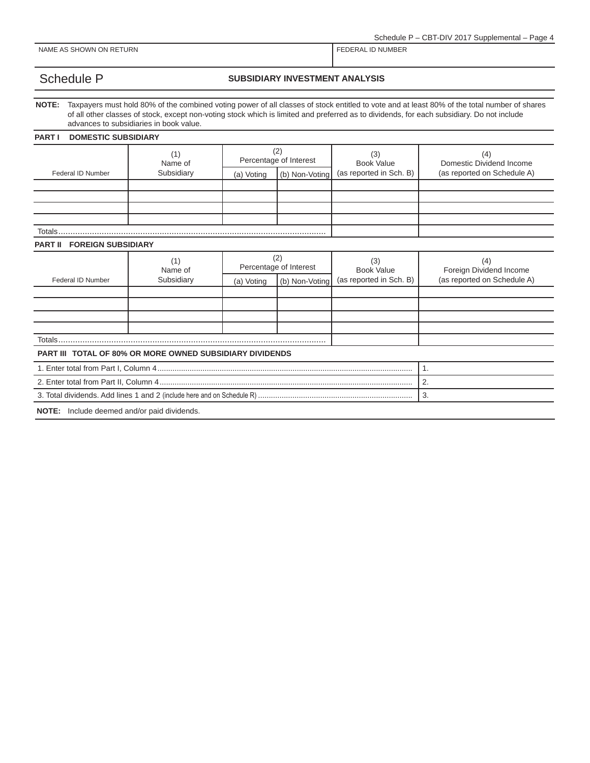Schedule P – CBT-DIV 2017 Supplemental – Page 4

NAME AS SHOWN ON RETURN FEDERAL ID NUMBER

### Schedule P **SUBSIDIARY INVESTMENT ANALYSIS**

**NOTE:** Taxpayers must hold 80% of the combined voting power of all classes of stock entitled to vote and at least 80% of the total number of shares of all other classes of stock, except non-voting stock which is limited and preferred as to dividends, for each subsidiary. Do not include advances to subsidiaries in book value.

#### **PART I DOMESTIC SUBSIDIARY**

|                                             | (1)<br>Name of                                                  | (2)<br>Percentage of Interest |                | (3)<br><b>Book Value</b> | (4)<br>Domestic Dividend Income |  |  |  |
|---------------------------------------------|-----------------------------------------------------------------|-------------------------------|----------------|--------------------------|---------------------------------|--|--|--|
| Federal ID Number                           | Subsidiary                                                      | (b) Non-Voting<br>(a) Voting  |                | (as reported in Sch. B)  | (as reported on Schedule A)     |  |  |  |
|                                             |                                                                 |                               |                |                          |                                 |  |  |  |
|                                             |                                                                 |                               |                |                          |                                 |  |  |  |
|                                             |                                                                 |                               |                |                          |                                 |  |  |  |
| Totals                                      |                                                                 |                               |                |                          |                                 |  |  |  |
| <b>FOREIGN SUBSIDIARY</b><br><b>PART II</b> |                                                                 |                               |                |                          |                                 |  |  |  |
|                                             | (1)<br>Name of                                                  | (2)<br>Percentage of Interest |                | (3)<br><b>Book Value</b> | (4)<br>Foreign Dividend Income  |  |  |  |
| Federal ID Number                           | Subsidiary                                                      | (a) Voting                    | (b) Non-Voting | (as reported in Sch. B)  | (as reported on Schedule A)     |  |  |  |
|                                             |                                                                 |                               |                |                          |                                 |  |  |  |
|                                             |                                                                 |                               |                |                          |                                 |  |  |  |
|                                             |                                                                 |                               |                |                          |                                 |  |  |  |
| Totals                                      |                                                                 |                               |                |                          |                                 |  |  |  |
|                                             | <b>PART III TOTAL OF 80% OR MORE OWNED SUBSIDIARY DIVIDENDS</b> |                               |                |                          |                                 |  |  |  |
|                                             | 1.                                                              |                               |                |                          |                                 |  |  |  |
|                                             | 2.                                                              |                               |                |                          |                                 |  |  |  |
|                                             | 3.                                                              |                               |                |                          |                                 |  |  |  |
| NOTE: Include deemed and/or paid dividends. |                                                                 |                               |                |                          |                                 |  |  |  |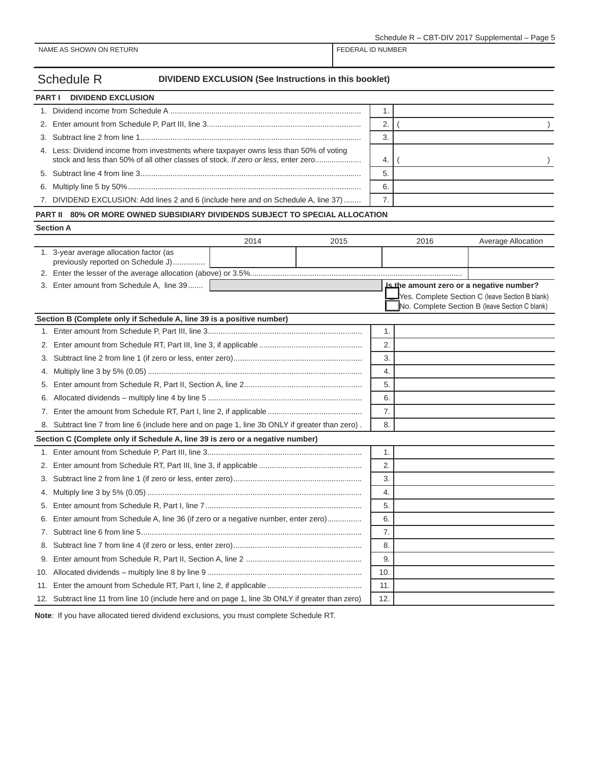| <b>Schedule R</b> | DIVIDEND EXCLUSION (See Instructions in this booklet) |
|-------------------|-------------------------------------------------------|
|-------------------|-------------------------------------------------------|

| <b>PART I</b> DIVIDEND EXCLUSION                                                                                                                                            |   |  |
|-----------------------------------------------------------------------------------------------------------------------------------------------------------------------------|---|--|
|                                                                                                                                                                             |   |  |
|                                                                                                                                                                             |   |  |
|                                                                                                                                                                             |   |  |
| 4. Less: Dividend income from investments where taxpayer owns less than 50% of voting<br>stock and less than 50% of all other classes of stock. If zero or less, enter zero |   |  |
|                                                                                                                                                                             |   |  |
|                                                                                                                                                                             | 6 |  |
| 7. DIVIDEND EXCLUSION: Add lines 2 and 6 (include here and on Schedule A, line 37)                                                                                          |   |  |
|                                                                                                                                                                             |   |  |

### **PART II 80% OR MORE OWNED SUBSIDIARY DIVIDENDS SUBJECT TO SPECIAL ALLOCATION**

| ונז |  |
|-----|--|

|     | <b>Section A</b>                                                                                  |      |      |      |                                                                                                   |
|-----|---------------------------------------------------------------------------------------------------|------|------|------|---------------------------------------------------------------------------------------------------|
|     |                                                                                                   | 2014 | 2015 | 2016 | Average Allocation                                                                                |
|     | 1. 3-year average allocation factor (as<br>previously reported on Schedule J)                     |      |      |      |                                                                                                   |
|     |                                                                                                   |      |      |      |                                                                                                   |
|     | 3. Enter amount from Schedule A, line 39                                                          |      |      |      | Is the amount zero or a negative number?                                                          |
|     |                                                                                                   |      |      |      | Yes. Complete Section C (leave Section B blank)<br>No. Complete Section B (leave Section C blank) |
|     | Section B (Complete only if Schedule A, line 39 is a positive number)                             |      |      |      |                                                                                                   |
|     |                                                                                                   |      |      | 1.   |                                                                                                   |
| 2.  |                                                                                                   |      |      | 2.   |                                                                                                   |
| 3.  |                                                                                                   |      |      | 3.   |                                                                                                   |
| 4.  |                                                                                                   |      |      | 4.   |                                                                                                   |
| 5.  |                                                                                                   |      |      | 5.   |                                                                                                   |
| 6.  |                                                                                                   |      | 6.   |      |                                                                                                   |
| 7.  |                                                                                                   |      |      | 7.   |                                                                                                   |
|     | 8. Subtract line 7 from line 6 (include here and on page 1, line 3b ONLY if greater than zero).   |      |      | 8.   |                                                                                                   |
|     | Section C (Complete only if Schedule A, line 39 is zero or a negative number)                     |      |      |      |                                                                                                   |
|     |                                                                                                   |      |      | 1.   |                                                                                                   |
| 2.  |                                                                                                   |      |      | 2.   |                                                                                                   |
| 3.  |                                                                                                   |      |      | 3.   |                                                                                                   |
| 4.  |                                                                                                   |      |      | 4.   |                                                                                                   |
| 5.  |                                                                                                   |      |      | 5.   |                                                                                                   |
| 6.  | Enter amount from Schedule A, line 36 (if zero or a negative number, enter zero)                  |      |      | 6.   |                                                                                                   |
| 7.  |                                                                                                   |      |      | 7.   |                                                                                                   |
| 8.  |                                                                                                   |      |      | 8.   |                                                                                                   |
| 9.  |                                                                                                   |      |      | 9.   |                                                                                                   |
| 10. |                                                                                                   |      |      | 10.  |                                                                                                   |
| 11. |                                                                                                   |      |      | 11.  |                                                                                                   |
|     | 12. Subtract line 11 from line 10 (include here and on page 1, line 3b ONLY if greater than zero) |      |      | 12.  |                                                                                                   |

**Note**: If you have allocated tiered dividend exclusions, you must complete Schedule RT.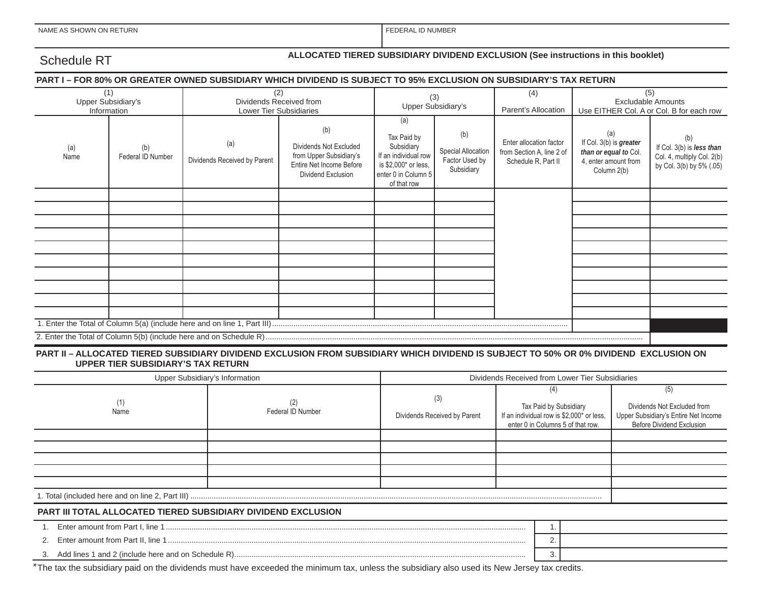FEDERAL ID NUMBER

# Schedule RT **ALLOCATED TIERED SUBSIDIARY DIVIDEND EXCLUSION (See instructions in this booklet)**

#### **PART I – FOR 80% OR GREATER OWNED SUBSIDIARY WHICH DIVIDEND IS SUBJECT TO 95% EXCLUSION ON SUBSIDIARY'S TAX RETURN**

| (1)<br>Upper Subsidiary's<br>Information |                          |                                     | (2)<br>(4)<br>(3)<br>Dividends Received from<br>Upper Subsidiary's<br>Parent's Allocation<br>Lower Tier Subsidiaries |                                                                                                                        |                                                           |                                                                             |                                                                                                | (5)<br><b>Excludable Amounts</b><br>Use EITHER Col. A or Col. B for each row               |  |
|------------------------------------------|--------------------------|-------------------------------------|----------------------------------------------------------------------------------------------------------------------|------------------------------------------------------------------------------------------------------------------------|-----------------------------------------------------------|-----------------------------------------------------------------------------|------------------------------------------------------------------------------------------------|--------------------------------------------------------------------------------------------|--|
| (a)<br>Name                              | (b)<br>Federal ID Number | (a)<br>Dividends Received by Parent | (b)<br>Dividends Not Excluded<br>from Upper Subsidiary's<br>Entire Net Income Before<br>Dividend Exclusion           | (a)<br>Tax Paid by<br>Subsidiary<br>If an individual row<br>is \$2,000* or less,<br>enter 0 in Column 5<br>of that row | (b)<br>Special Allocation<br>Factor Used by<br>Subsidiary | Enter allocation factor<br>from Section A, line 2 of<br>Schedule R, Part II | (a)<br>If Col. 3(b) is greater<br>than or equal to Col.<br>4, enter amount from<br>Column 2(b) | (b)<br>If Col. 3(b) is less than<br>Col. 4, multiply Col. 2(b)<br>by Col. 3(b) by 5% (.05) |  |
|                                          |                          |                                     |                                                                                                                      |                                                                                                                        |                                                           |                                                                             |                                                                                                |                                                                                            |  |
|                                          |                          |                                     |                                                                                                                      |                                                                                                                        |                                                           |                                                                             |                                                                                                |                                                                                            |  |
|                                          |                          |                                     |                                                                                                                      |                                                                                                                        |                                                           |                                                                             |                                                                                                |                                                                                            |  |
|                                          |                          |                                     |                                                                                                                      |                                                                                                                        |                                                           |                                                                             |                                                                                                |                                                                                            |  |
|                                          |                          |                                     |                                                                                                                      |                                                                                                                        |                                                           |                                                                             |                                                                                                |                                                                                            |  |
|                                          |                          |                                     |                                                                                                                      |                                                                                                                        |                                                           |                                                                             |                                                                                                |                                                                                            |  |
|                                          |                          |                                     |                                                                                                                      |                                                                                                                        |                                                           |                                                                             |                                                                                                |                                                                                            |  |
|                                          |                          |                                     |                                                                                                                      |                                                                                                                        |                                                           |                                                                             |                                                                                                |                                                                                            |  |
|                                          |                          |                                     |                                                                                                                      |                                                                                                                        |                                                           |                                                                             |                                                                                                |                                                                                            |  |
|                                          |                          |                                     |                                                                                                                      |                                                                                                                        |                                                           |                                                                             |                                                                                                |                                                                                            |  |

#### **PART II – ALLOCATED TIERED SUBSIDIARY DIVIDEND EXCLUSION FROM SUBSIDIARY WHICH DIVIDEND IS SUBJECT TO 50% OR 0% DIVIDEND EXCLUSION ON UPPER TIER SUBSIDIARY'S TAX RETURN**

| Upper Subsidiary's Information                                       | Dividends Received from Lower Tier Subsidiaries |                                     |                                                                                                          |  |  |                                                                                                         |  |  |
|----------------------------------------------------------------------|-------------------------------------------------|-------------------------------------|----------------------------------------------------------------------------------------------------------|--|--|---------------------------------------------------------------------------------------------------------|--|--|
| Name                                                                 | Federal ID Number                               | (3)<br>Dividends Received by Parent | Tax Paid by Subsidiary<br>If an individual row is \$2,000* or less,<br>enter 0 in Columns 5 of that row. |  |  | (5)<br>Dividends Not Excluded from<br>Upper Subsidiary's Entire Net Income<br>Before Dividend Exclusion |  |  |
|                                                                      |                                                 |                                     |                                                                                                          |  |  |                                                                                                         |  |  |
|                                                                      |                                                 |                                     |                                                                                                          |  |  |                                                                                                         |  |  |
|                                                                      |                                                 |                                     |                                                                                                          |  |  |                                                                                                         |  |  |
|                                                                      |                                                 |                                     |                                                                                                          |  |  |                                                                                                         |  |  |
|                                                                      |                                                 |                                     |                                                                                                          |  |  |                                                                                                         |  |  |
|                                                                      |                                                 |                                     |                                                                                                          |  |  |                                                                                                         |  |  |
| <b>PART III TOTAL ALLOCATED TIERED SUBSIDIARY DIVIDEND EXCLUSION</b> |                                                 |                                     |                                                                                                          |  |  |                                                                                                         |  |  |
|                                                                      |                                                 |                                     |                                                                                                          |  |  |                                                                                                         |  |  |
| 2.                                                                   |                                                 |                                     |                                                                                                          |  |  |                                                                                                         |  |  |
|                                                                      |                                                 |                                     |                                                                                                          |  |  |                                                                                                         |  |  |

\*The tax the subsidiary paid on the dividends must have exceeded the minimum tax, unless the subsidiary also used its New Jersey tax credits.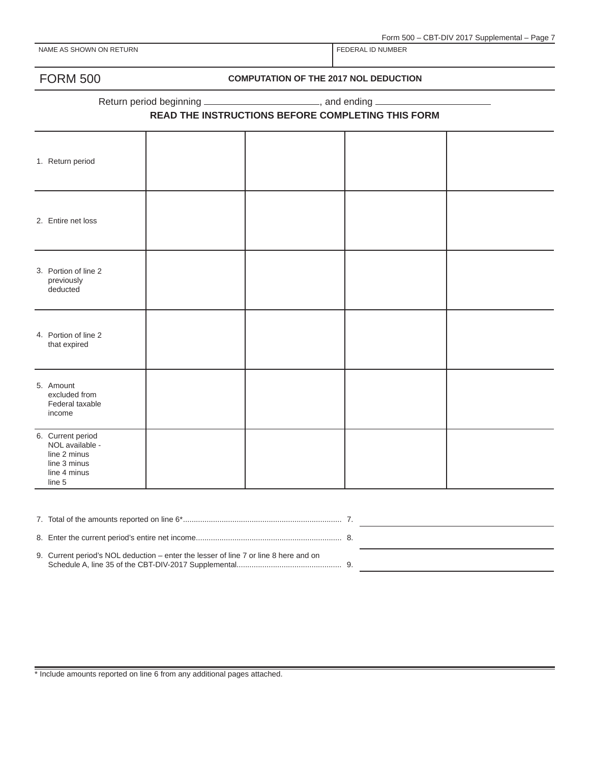### FORM 500 **COMPUTATION OF THE 2017 NOL DEDUCTION**

Return period beginning \_\_\_\_\_\_\_\_\_\_\_\_\_\_\_\_\_\_\_\_\_\_\_\_\_\_\_\_, and ending \_\_

#### **READ THE INSTRUCTIONS BEFORE COMPLETING THIS FORM**

| 1. Return period                                                                               |  |  |
|------------------------------------------------------------------------------------------------|--|--|
| 2. Entire net loss                                                                             |  |  |
| 3. Portion of line 2<br>previously<br>deducted                                                 |  |  |
| 4. Portion of line 2<br>that expired                                                           |  |  |
| 5. Amount<br>excluded from<br>Federal taxable<br>income                                        |  |  |
| 6. Current period<br>NOL available -<br>line 2 minus<br>line 3 minus<br>line 4 minus<br>line 5 |  |  |
|                                                                                                |  |  |

| 0. Current period's NOL deduction enter the legens of line 7 or line 8 here and an |  |
|------------------------------------------------------------------------------------|--|

9. Current period's NOL deduction – enter the lesser of line 7 or line 8 here and on Schedule A, line 35 of the CBT-DIV-2017 Supplemental................................................. 9.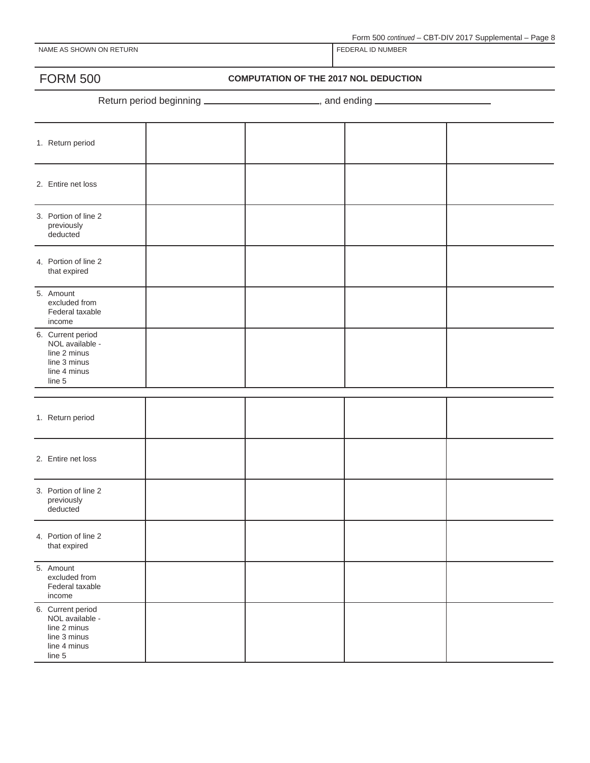Form 500 *continued* – CBT-DIV 2017 Supplemental – Page 8

NAME AS SHOWN ON RETURN FEDERAL ID NUMBER

FORM 500 **COMPUTATION OF THE 2017 NOL DEDUCTION**

Return period beginning \_\_\_\_\_\_\_\_\_\_\_\_\_\_\_\_\_\_\_\_\_\_\_\_, and ending \_\_\_\_\_\_\_\_\_\_\_\_\_\_\_\_\_\_\_

| 1. Return period                                                                               |  |  |
|------------------------------------------------------------------------------------------------|--|--|
| 2. Entire net loss                                                                             |  |  |
| 3. Portion of line 2<br>previously<br>deducted                                                 |  |  |
| 4. Portion of line 2<br>that expired                                                           |  |  |
| 5. Amount<br>excluded from<br>Federal taxable<br>income                                        |  |  |
| 6. Current period<br>NOL available -<br>line 2 minus<br>line 3 minus<br>line 4 minus<br>line 5 |  |  |
|                                                                                                |  |  |
| 1. Return period                                                                               |  |  |
| 2. Entire net loss                                                                             |  |  |
| 3. Portion of line 2<br>previously<br>deducted                                                 |  |  |
| 4. Portion of line 2<br>that expired                                                           |  |  |
| 5. Amount<br>excluded from<br>Federal taxable<br>income                                        |  |  |
| 6. Current period<br>NOL available -<br>line 2 minus<br>line 3 minus<br>line 4 minus<br>line 5 |  |  |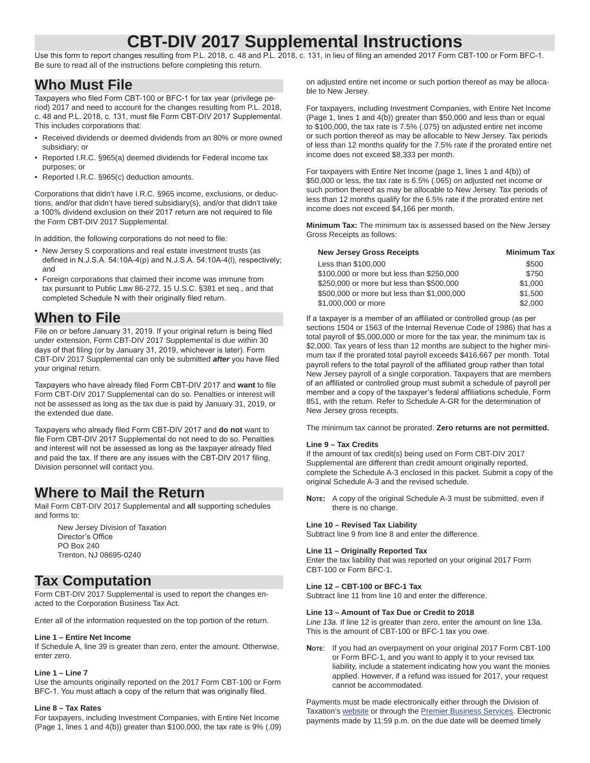# **CBT-DIV 2017 Supplemental Instructions**

Use this form to report changes resulting from P.L. 2018, c. 48 and P.L. 2018, c. 131, in lieu of filing an amended 2017 Form CBT-100 or Form BFC-1. Be sure to read all of the instructions before completing this return.

# **Who Must File**

Taxpayers who filed Form CBT-100 or BFC-1 for tax year (privilege period) 2017 and need to account for the changes resulting from P.L. 2018, c. 48 and P.L. 2018, c. 131, must file Form CBT-DIV 2017 Supplemental. This includes corporations that:

- Received dividends or deemed dividends from an 80% or more owned subsidiary; or
- Reported I.R.C. §965(a) deemed dividends for Federal income tax purposes; or
- Reported I.R.C. §965(c) deduction amounts.

Corporations that didn't have I.R.C. §965 income, exclusions, or deductions, and/or that didn't have tiered subsidiary(s), and/or that didn't take a 100% dividend exclusion on their 2017 return are not required to file the Form CBT-DIV 2017 Supplemental.

In addition, the following corporations do not need to file:

- New Jersey S corporations and real estate investment trusts (as defined in N.J.S.A. 54:10A-4(p) and N.J.S.A. 54:10A-4(l), respectively; and
- Foreign corporations that claimed their income was immune from tax pursuant to Public Law 86-272, 15 U.S.C. §381 et seq., and that completed Schedule N with their originally filed return.

# **When to File**

File on or before January 31, 2019. If your original return is being filed under extension, Form CBT-DIV 2017 Supplemental is due within 30 days of that filing (or by January 31, 2019, whichever is later). Form CBT-DIV 2017 Supplemental can only be submitted *after* you have filed your original return.

Taxpayers who have already filed Form CBT-DIV 2017 and want to file Form CBT-DIV 2017 Supplemental can do so. Penalties or interest will not be assessed as long as the tax due is paid by January 31, 2019, or the extended due date.

Taxpayers who already filed Form CBT-DIV 2017 and do not want to file Form CBT-DIV 2017 Supplemental do not need to do so. Penalties and interest will not be assessed as long as the taxpayer already filed and paid the tax. If there are any issues with the CBT-DIV 2017 filing, Division personnel will contact you.

# **Where to Mail the Return**

Mail Form CBT-DIV 2017 Supplemental and **all** supporting schedules and forms to:

New Jersey Division of Taxation Director's Office PO Box 240 Trenton, NJ 08695-0240

## **Tax Computation**

Form CBT-DIV 2017 Supplemental is used to report the changes enacted to the Corporation Business Tax Act.

Enter all of the information requested on the top portion of the return.

#### **Line 1 – Entire Net Income**

If Schedule A, line 39 is greater than zero, enter the amount. Otherwise, enter zero.

#### **Line 1 – Line 7**

Use the amounts originally reported on the 2017 Form CBT-100 or Form BFC-1. You must attach a copy of the return that was originally filed.

#### **Line 8 – Tax Rates**

For taxpayers, including Investment Companies, with Entire Net Income (Page 1, lines 1 and 4(b)) greater than \$100,000, the tax rate is 9% (.09)

on adjusted entire net income or such portion thereof as may be allocable to New Jersey.

For taxpayers, including Investment Companies, with Entire Net Income (Page 1, lines 1 and 4(b)) greater than \$50,000 and less than or equal to \$100,000, the tax rate is 7.5% (.075) on adjusted entire net income or such portion thereof as may be allocable to New Jersey. Tax periods of less than 12 months qualify for the 7.5% rate if the prorated entire net income does not exceed \$8,333 per month.

For taxpayers with Entire Net Income (page 1, lines 1 and 4(b)) of \$50,000 or less, the tax rate is 6.5% (.065) on adjusted net income or such portion thereof as may be allocable to New Jersey. Tax periods of less than 12 months qualify for the 6.5% rate if the prorated entire net income does not exceed \$4,166 per month.

**Minimum Tax:** The minimum tax is assessed based on the New Jersey Gross Receipts as follows:

| <b>New Jersey Gross Receipts</b>            | <b>Minimum Tax</b> |
|---------------------------------------------|--------------------|
| Less than \$100,000                         | \$500              |
| \$100,000 or more but less than \$250,000   | \$750              |
| \$250,000 or more but less than \$500,000   | \$1,000            |
| \$500,000 or more but less than \$1,000,000 | \$1,500            |
| \$1,000,000 or more                         | \$2.000            |

If a taxpayer is a member of an affiliated or controlled group (as per sections 1504 or 1563 of the Internal Revenue Code of 1986) that has a total payroll of \$5,000,000 or more for the tax year, the minimum tax is \$2,000. Tax years of less than 12 months are subject to the higher minimum tax if the prorated total payroll exceeds \$416,667 per month. Total payroll refers to the total payroll of the affiliated group rather than total New Jersey payroll of a single corporation. Taxpayers that are members of an affiliated or controlled group must submit a schedule of payroll per member and a copy of the taxpayer's federal affiliations schedule, Form 851, with the return. Refer to Schedule A-GR for the determination of New Jersey gross receipts.

The minimum tax cannot be prorated. **Zero returns are not permitted.**

#### **Line 9 – Tax Credits**

If the amount of tax credit(s) being used on Form CBT-DIV 2017 Supplemental are different than credit amount originally reported, complete the Schedule A-3 enclosed in this packet. Submit a copy of the original Schedule A-3 and the revised schedule.

**NOTE:** A copy of the original Schedule A-3 must be submitted, even if there is no change.

#### **Line 10 – Revised Tax Liability**

Subtract line 9 from line 8 and enter the difference.

#### **Line 11 – Originally Reported Tax**

Enter the tax liability that was reported on your original 2017 Form CBT-100 or Form BFC-1.

#### **Line 12 – CBT-100 or BFC-1 Tax**

Subtract line 11 from line 10 and enter the difference.

#### **Line 13 – Amount of Tax Due or Credit to 2018**

*Line 13a.* If line 12 is greater than zero, enter the amount on line 13a. This is the amount of CBT-100 or BFC-1 tax you owe.

**NOTE**: If you had an overpayment on your original 2017 Form CBT-100 or Form BFC-1, and you want to apply it to your revised tax liability, include a statement indicating how you want the monies applied. However, if a refund was issued for 2017, your request cannot be accommodated.

Payments must be made electronically either through the Division of Taxation's website or through the **Premier Business Services**. Electronic payments made by 11:59 p.m. on the due date will be deemed timely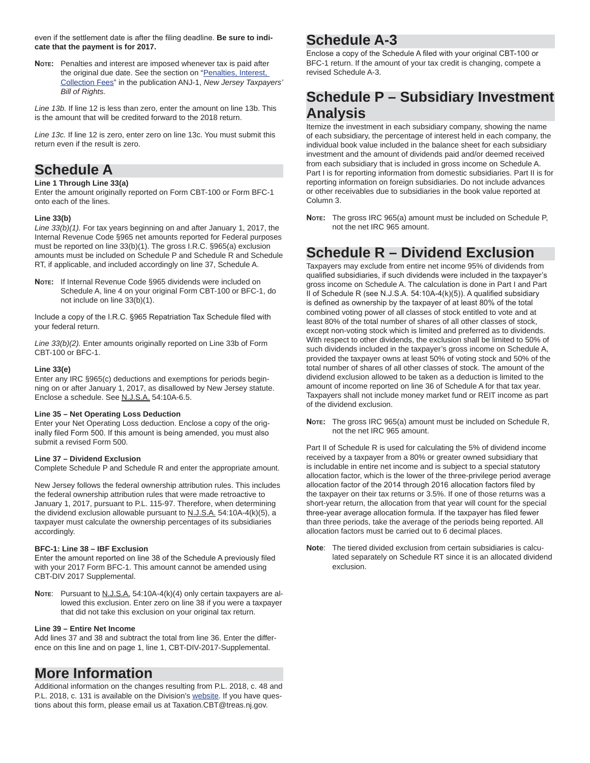even if the settlement date is after the filing deadline. Be sure to indi**cate that the payment is for 2017.**

**NOTE:** Penalties and interest are imposed whenever tax is paid after the original due date. See the section on "Penalties, Interest, Collection Fees" in the publication ANJ-1, *New Jersey Taxpayers' Bill of Rights.*

*Line 13b.* If line 12 is less than zero, enter the amount on line 13b. This is the amount that will be credited forward to the 2018 return.

*Line 13c.* If line 12 is zero, enter zero on line 13c. You must submit this return even if the result is zero.

# **Schedule A**

#### **Line 1 Through Line 33(a)**

Enter the amount originally reported on Form CBT-100 or Form BFC-1 onto each of the lines.

#### **Line 33(b)**

*Line 33(b)(1).* For tax years beginning on and after January 1, 2017, the Internal Revenue Code §965 net amounts reported for Federal purposes must be reported on line 33(b)(1). The gross I.R.C. §965(a) exclusion amounts must be included on Schedule P and Schedule R and Schedule RT, if applicable, and included accordingly on line 37, Schedule A.

**NOTE:** If Internal Revenue Code §965 dividends were included on Schedule A, line 4 on your original Form CBT-100 or BFC-1, do not include on line 33(b)(1).

Include a copy of the I.R.C. §965 Repatriation Tax Schedule filed with your federal return.

*Line 33(b)(2).* Enter amounts originally reported on Line 33b of Form CBT-100 or BFC-1.

#### **Line 33(e)**

Enter any IRC §965(c) deductions and exemptions for periods beginning on or after January 1, 2017, as disallowed by New Jersey statute. Enclose a schedule. See N.J.S.A. 54:10A-6.5.

#### **Line 35 – Net Operating Loss Deduction**

Enter your Net Operating Loss deduction. Enclose a copy of the originally filed Form 500. If this amount is being amended, you must also submit a revised Form 500.

#### **Line 37 – Dividend Exclusion**

Complete Schedule P and Schedule R and enter the appropriate amount.

New Jersey follows the federal ownership attribution rules. This includes the federal ownership attribution rules that were made retroactive to January 1, 2017, pursuant to P.L. 115-97. Therefore, when determining the dividend exclusion allowable pursuant to N.J.S.A. 54:10A-4(k)(5), a taxpayer must calculate the ownership percentages of its subsidiaries accordingly.

#### **BFC-1: Line 38 – IBF Exclusion**

Enter the amount reported on line 38 of the Schedule A previously filed with your 2017 Form BFC-1. This amount cannot be amended using CBT-DIV 2017 Supplemental.

Note: Pursuant to N.J.S.A. 54:10A-4(k)(4) only certain taxpayers are allowed this exclusion. Enter zero on line 38 if you were a taxpayer that did not take this exclusion on your original tax return.

#### **Line 39 – Entire Net Income**

Add lines 37 and 38 and subtract the total from line 36. Enter the difference on this line and on page 1, line 1, CBT-DIV-2017-Supplemental.

# **More Information**

Additional information on the changes resulting from P.L. 2018, c. 48 and P.L. 2018, c. 131 is available on the Division's website. If you have questions about this form, please email us at Taxation.CBT@treas.nj.gov.

# **Schedule A-3**

Enclose a copy of the Schedule A filed with your original CBT-100 or BFC-1 return. If the amount of your tax credit is changing, compete a revised Schedule A-3.

# **Schedule P – Subsidiary Investment Analysis**

Itemize the investment in each subsidiary company, showing the name of each subsidiary, the percentage of interest held in each company, the individual book value included in the balance sheet for each subsidiary investment and the amount of dividends paid and/or deemed received from each subsidiary that is included in gross income on Schedule A. Part I is for reporting information from domestic subsidiaries. Part II is for reporting information on foreign subsidiaries. Do not include advances or other receivables due to subsidiaries in the book value reported at Column 3.

**NOTE:** The gross IRC 965(a) amount must be included on Schedule P, not the net IRC 965 amount.

# **Schedule R – Dividend Exclusion**

Taxpayers may exclude from entire net income 95% of dividends from qualified subsidiaries, if such dividends were included in the taxpayer's gross income on Schedule A. The calculation is done in Part I and Part II of Schedule R (see N.J.S.A. 54:10A-4(k)(5)). A qualified subsidiary is defined as ownership by the taxpayer of at least 80% of the total combined voting power of all classes of stock entitled to vote and at least 80% of the total number of shares of all other classes of stock, except non-voting stock which is limited and preferred as to dividends. With respect to other dividends, the exclusion shall be limited to 50% of such dividends included in the taxpayer's gross income on Schedule A, provided the taxpayer owns at least 50% of voting stock and 50% of the total number of shares of all other classes of stock. The amount of the dividend exclusion allowed to be taken as a deduction is limited to the amount of income reported on line 36 of Schedule A for that tax year. Taxpayers shall not include money market fund or REIT income as part of the dividend exclusion.

**NOTE:** The gross IRC 965(a) amount must be included on Schedule R, not the net IRC 965 amount.

Part II of Schedule R is used for calculating the 5% of dividend income received by a taxpayer from a 80% or greater owned subsidiary that is includable in entire net income and is subject to a special statutory allocation factor, which is the lower of the three-privilege period average allocation factor of the 2014 through 2016 allocation factors filed by the taxpayer on their tax returns or 3.5%. If one of those returns was a short-year return, the allocation from that year will count for the special three-year average allocation formula. If the taxpayer has filed fewer than three periods, take the average of the periods being reported. All allocation factors must be carried out to 6 decimal places.

**Note**: The tiered divided exclusion from certain subsidiaries is calculated separately on Schedule RT since it is an allocated dividend exclusion.